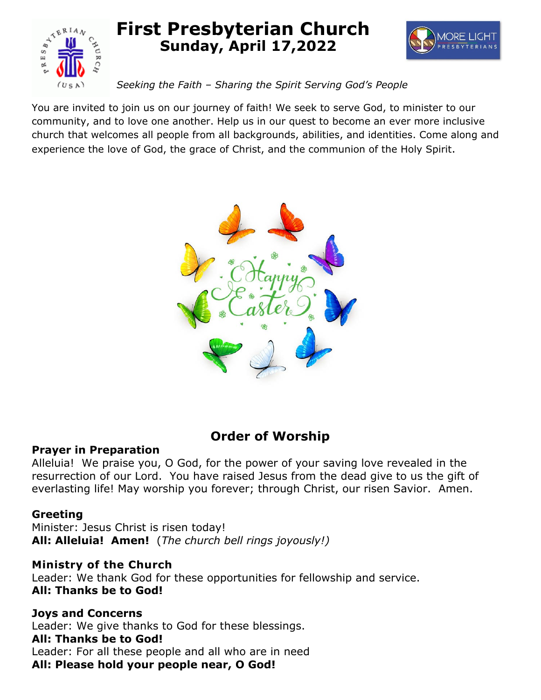

# **First Presbyterian Church Sunday, April 17,2022**



*Seeking the Faith – Sharing the Spirit Serving God's People*

You are invited to join us on our journey of faith! We seek to serve God, to minister to our community, and to love one another. Help us in our quest to become an ever more inclusive church that welcomes all people from all backgrounds, abilities, and identities. Come along and experience the love of God, the grace of Christ, and the communion of the Holy Spirit.



# **Order of Worship**

# **Prayer in Preparation**

Alleluia! We praise you, O God, for the power of your saving love revealed in the resurrection of our Lord. You have raised Jesus from the dead give to us the gift of everlasting life! May worship you forever; through Christ, our risen Savior. Amen.

# **Greeting**

Minister: Jesus Christ is risen today! **All: Alleluia! Amen!** (*The church bell rings joyously!)*

# **Ministry of the Church**

Leader: We thank God for these opportunities for fellowship and service. **All: Thanks be to God!**

# **Joys and Concerns**

Leader: We give thanks to God for these blessings.

# **All: Thanks be to God!**

Leader: For all these people and all who are in need **All: Please hold your people near, O God!**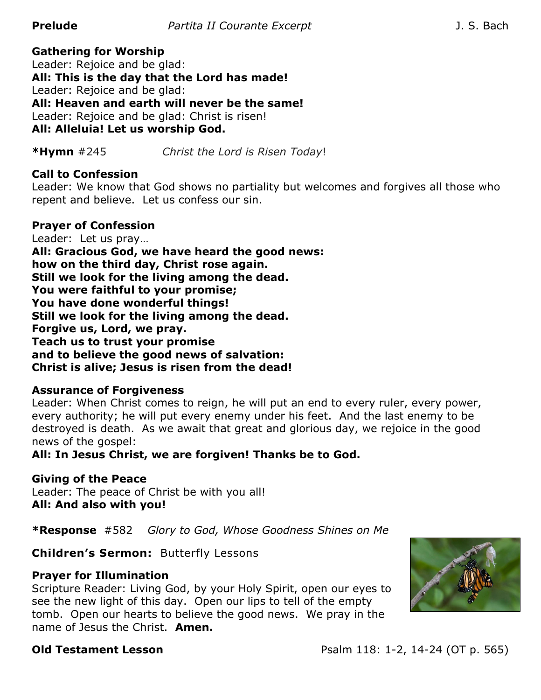# **Gathering for Worship**

Leader: Rejoice and be glad: **All: This is the day that the Lord has made!** Leader: Rejoice and be glad: **All: Heaven and earth will never be the same!** Leader: Rejoice and be glad: Christ is risen! **All: Alleluia! Let us worship God.** 

**\*Hymn** #245 *Christ the Lord is Risen Today*!

#### **Call to Confession**

Leader: We know that God shows no partiality but welcomes and forgives all those who repent and believe. Let us confess our sin.

#### **Prayer of Confession**

Leader: Let us pray… **All: Gracious God, we have heard the good news: how on the third day, Christ rose again. Still we look for the living among the dead. You were faithful to your promise; You have done wonderful things! Still we look for the living among the dead. Forgive us, Lord, we pray. Teach us to trust your promise and to believe the good news of salvation: Christ is alive; Jesus is risen from the dead!** 

#### **Assurance of Forgiveness**

Leader: When Christ comes to reign, he will put an end to every ruler, every power, every authority; he will put every enemy under his feet. And the last enemy to be destroyed is death. As we await that great and glorious day, we rejoice in the good news of the gospel:

**All: In Jesus Christ, we are forgiven! Thanks be to God.**

**Giving of the Peace** Leader: The peace of Christ be with you all! **All: And also with you!**

**\*Response** #582 *Glory to God, Whose Goodness Shines on Me*

**Children's Sermon:** Butterfly Lessons

#### **Prayer for Illumination**

Scripture Reader: Living God, by your Holy Spirit, open our eyes to see the new light of this day. Open our lips to tell of the empty tomb. Open our hearts to believe the good news. We pray in the name of Jesus the Christ. **Amen.** 

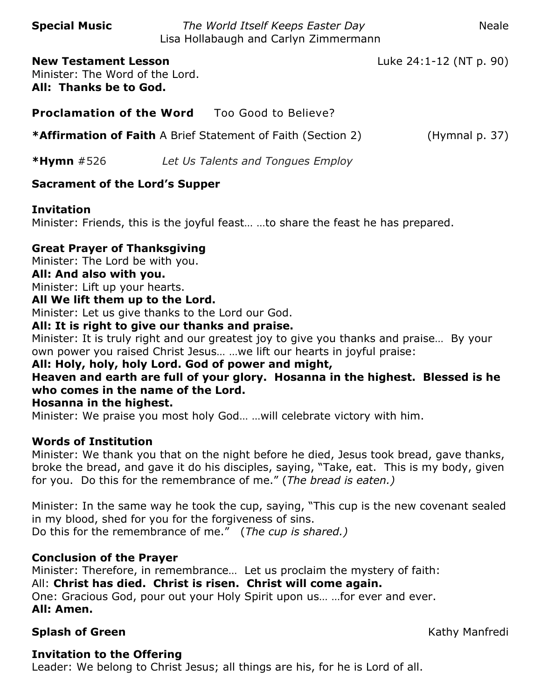**Special Music** *The World Itself Keeps Easter Day* Neale Lisa Hollabaugh and Carlyn Zimmermann

**New Testament Lesson** Luke 24:1-12 (NT p. 90) Minister: The Word of the Lord. **All: Thanks be to God.**

**Proclamation of the Word** Too Good to Believe?

**\*Affirmation of Faith** A Brief Statement of Faith (Section 2) (Hymnal p. 37)

**\*Hymn** #526 *Let Us Talents and Tongues Employ*

# **Sacrament of the Lord's Supper**

# **Invitation**

Minister: Friends, this is the joyful feast… …to share the feast he has prepared.

# **Great Prayer of Thanksgiving**

Minister: The Lord be with you.

# **All: And also with you.**

Minister: Lift up your hearts.

# **All We lift them up to the Lord.**

Minister: Let us give thanks to the Lord our God.

# **All: It is right to give our thanks and praise.**

Minister: It is truly right and our greatest joy to give you thanks and praise… By your own power you raised Christ Jesus… …we lift our hearts in joyful praise:

# **All: Holy, holy, holy Lord. God of power and might,**

# **Heaven and earth are full of your glory. Hosanna in the highest. Blessed is he who comes in the name of the Lord.**

# **Hosanna in the highest.**

Minister: We praise you most holy God… …will celebrate victory with him.

# **Words of Institution**

Minister: We thank you that on the night before he died, Jesus took bread, gave thanks, broke the bread, and gave it do his disciples, saying, "Take, eat. This is my body, given for you. Do this for the remembrance of me." (*The bread is eaten.)*

Minister: In the same way he took the cup, saying, "This cup is the new covenant sealed in my blood, shed for you for the forgiveness of sins. Do this for the remembrance of me." (*The cup is shared.)*

# **Conclusion of the Prayer**

Minister: Therefore, in remembrance… Let us proclaim the mystery of faith: All: **Christ has died. Christ is risen. Christ will come again.** One: Gracious God, pour out your Holy Spirit upon us… …for ever and ever. **All: Amen.**

# **Splash of Green** Kathy Manfredi

# **Invitation to the Offering**

Leader: We belong to Christ Jesus; all things are his, for he is Lord of all.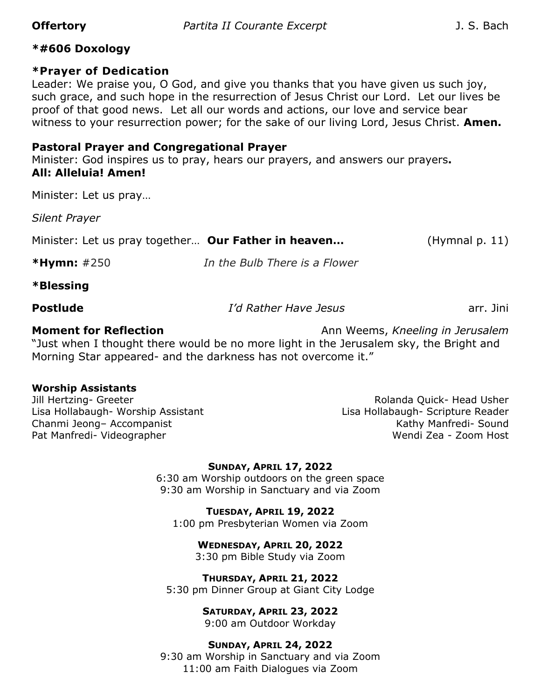#### **\*#606 Doxology**

#### **\*Prayer of Dedication**

Leader: We praise you, O God, and give you thanks that you have given us such joy, such grace, and such hope in the resurrection of Jesus Christ our Lord. Let our lives be proof of that good news. Let all our words and actions, our love and service bear witness to your resurrection power; for the sake of our living Lord, Jesus Christ. **Amen.**

#### **Pastoral Prayer and Congregational Prayer**

Minister: God inspires us to pray, hears our prayers, and answers our prayers**. All: Alleluia! Amen!**

Minister: Let us pray…

*Silent Prayer*

Minister: Let us pray together… **Our Father in heaven…** (Hymnal p. 11)

**\*Hymn:** #250 *In the Bulb There is a Flower*

#### **\*Blessing**

| <b>Postlude</b> | I'd Rather Have Jesus | arr. Jini |
|-----------------|-----------------------|-----------|
|                 |                       |           |

**Moment for Reflection Ann Weems,** *Kneeling in Jerusalem* "Just when I thought there would be no more light in the Jerusalem sky, the Bright and Morning Star appeared- and the darkness has not overcome it."

#### **Worship Assistants**

Lisa Hollabaugh- Worship Assistant Lisa Hollabaugh- Scripture Reader Chanmi Jeong– Accompanist Kathy Manfredi- Sound Pat Manfredi- Videographer Wendi Zea - Zoom Host

Jill Hertzing- Greeter **Notational Struck- Head Usher** Rolanda Quick- Head Usher

#### **SUNDAY, APRIL 17, 2022**

6:30 am Worship outdoors on the green space 9:30 am Worship in Sanctuary and via Zoom

**TUESDAY, APRIL 19, 2022** 1:00 pm Presbyterian Women via Zoom

**WEDNESDAY, APRIL 20, 2022**

3:30 pm Bible Study via Zoom

**THURSDAY, APRIL 21, 2022** 5:30 pm Dinner Group at Giant City Lodge

**SATURDAY, APRIL 23, 2022**

9:00 am Outdoor Workday

#### **SUNDAY, APRIL 24, 2022**

9:30 am Worship in Sanctuary and via Zoom 11:00 am Faith Dialogues via Zoom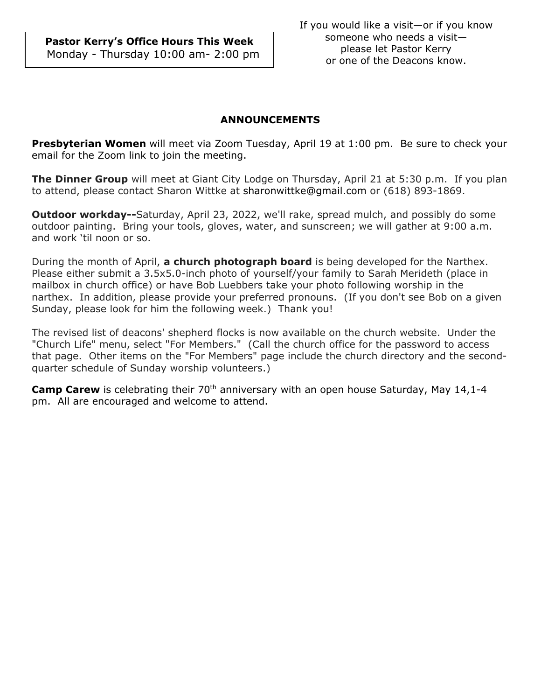**Pastor Kerry's Office Hours This Week** Monday - Thursday 10:00 am- 2:00 pm

#### **ANNOUNCEMENTS**

**Presbyterian Women** will meet via Zoom Tuesday, April 19 at 1:00 pm. Be sure to check your email for the Zoom link to join the meeting.

**The Dinner Group** will meet at Giant City Lodge on Thursday, April 21 at 5:30 p.m. If you plan to attend, please contact Sharon Wittke at [sharonwittke@gmail.com](mailto:sharonwittke@gmail.com) or (618) 893-1869.

**Outdoor workday--**Saturday, April 23, 2022, we'll rake, spread mulch, and possibly do some outdoor painting. Bring your tools, gloves, water, and sunscreen; we will gather at 9:00 a.m. and work 'til noon or so.

During the month of April, **a church photograph board** is being developed for the Narthex. Please either submit a 3.5x5.0-inch photo of yourself/your family to Sarah Merideth (place in mailbox in church office) or have Bob Luebbers take your photo following worship in the narthex. In addition, please provide your preferred pronouns. (If you don't see Bob on a given Sunday, please look for him the following week.) Thank you!

The revised list of deacons' shepherd flocks is now available on the church website. Under the "Church Life" menu, select "For Members." (Call the church office for the password to access that page. Other items on the "For Members" page include the church directory and the secondquarter schedule of Sunday worship volunteers.)

**Camp Carew** is celebrating their 70<sup>th</sup> anniversary with an open house Saturday, May 14,1-4 pm. All are encouraged and welcome to attend.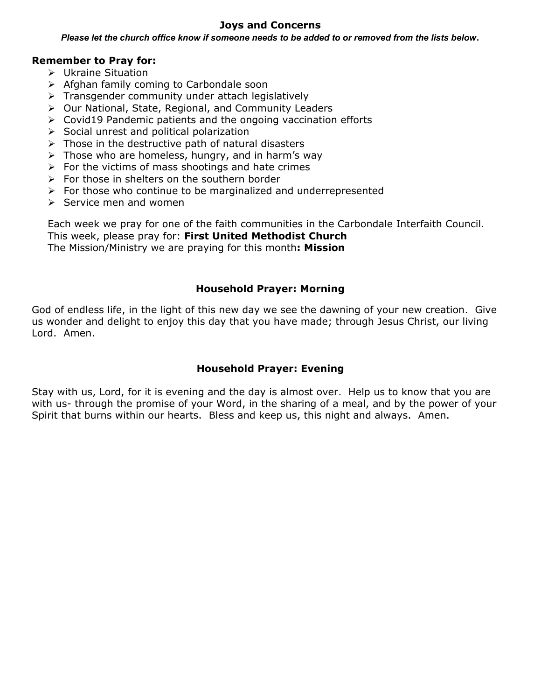#### **Joys and Concerns**

*Please let the church office know if someone needs to be added to or removed from the lists below*.

#### **Remember to Pray for:**

- Ukraine Situation
- $\triangleright$  Afghan family coming to Carbondale soon
- $\triangleright$  Transgender community under attach legislatively
- Our National, State, Regional, and Community Leaders
- $\triangleright$  Covid19 Pandemic patients and the ongoing vaccination efforts
- $\triangleright$  Social unrest and political polarization
- $\triangleright$  Those in the destructive path of natural disasters
- $\triangleright$  Those who are homeless, hungry, and in harm's way
- $\triangleright$  For the victims of mass shootings and hate crimes
- $\triangleright$  For those in shelters on the southern border
- $\triangleright$  For those who continue to be marginalized and underrepresented
- $\triangleright$  Service men and women

Each week we pray for one of the faith communities in the Carbondale Interfaith Council. This week, please pray for: **First United Methodist Church**  The Mission/Ministry we are praying for this month**: Mission**

#### **Household Prayer: Morning**

God of endless life, in the light of this new day we see the dawning of your new creation. Give us wonder and delight to enjoy this day that you have made; through Jesus Christ, our living Lord. Amen.

#### **Household Prayer: Evening**

Stay with us, Lord, for it is evening and the day is almost over. Help us to know that you are with us- through the promise of your Word, in the sharing of a meal, and by the power of your Spirit that burns within our hearts. Bless and keep us, this night and always. Amen.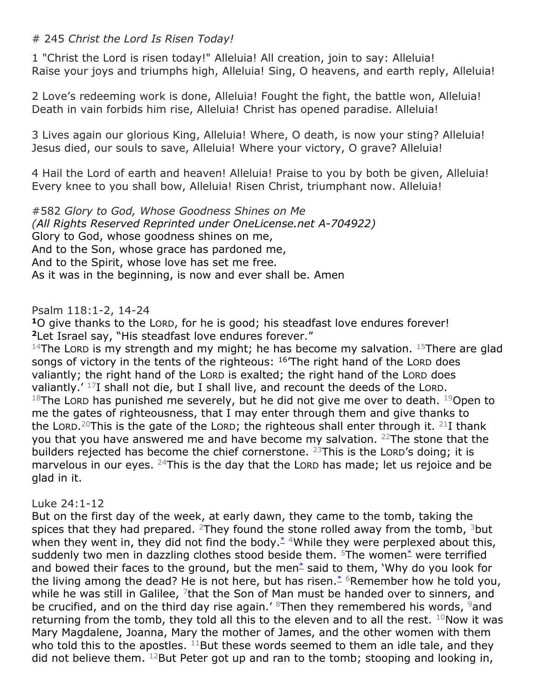### # 245 *Christ the Lord Is Risen Today!*

1 "Christ the Lord is risen today!" Alleluia! All creation, join to say: Alleluia! Raise your joys and triumphs high, Alleluia! Sing, O heavens, and earth reply, Alleluia!

2 Love's redeeming work is done, Alleluia! Fought the fight, the battle won, Alleluia! Death in vain forbids him rise, Alleluia! Christ has opened paradise. Alleluia!

3 Lives again our glorious King, Alleluia! Where, O death, is now your sting? Alleluia! Jesus died, our souls to save, Alleluia! Where your victory, O grave? Alleluia!

4 Hail the Lord of earth and heaven! Alleluia! Praise to you by both be given, Alleluia! Every knee to you shall bow, Alleluia! Risen Christ, triumphant now. Alleluia!

#582 *Glory to God, Whose Goodness Shines on Me (All Rights Reserved Reprinted under OneLicense.net A-704922)* Glory to God, whose goodness shines on me, And to the Son, whose grace has pardoned me, And to the Spirit, whose love has set me free*.* As it was in the beginning, is now and ever shall be. Amen

#### Psalm 118:1-2, 14-24

**<sup>1</sup>**O give thanks to the LORD, for he is good; his steadfast love endures forever! **<sup>2</sup>**Let Israel say, "His steadfast love endures forever."

<sup>14</sup>The LORD is my strength and my might; he has become my salvation.  $15$ There are glad songs of victory in the tents of the righteous:  $16$ The right hand of the Lord does valiantly; the right hand of the LORD is exalted; the right hand of the LORD does valiantly.' <sup>17</sup>I shall not die, but I shall live, and recount the deeds of the LORD.  $18$ The LORD has punished me severely, but he did not give me over to death.  $19$ Open to me the gates of righteousness, that I may enter through them and give thanks to the Lorp.<sup>20</sup>This is the gate of the Lorp; the righteous shall enter through it. <sup>21</sup>I thank you that you have answered me and have become my salvation. <sup>22</sup>The stone that the builders rejected has become the chief cornerstone.  $^{23}$ This is the LORD's doing; it is marvelous in our eyes. <sup>24</sup>This is the day that the LORD has made; let us rejoice and be glad in it.

#### Luke 24:1-12

But on the first day of the week, at early dawn, they came to the tomb, taking the spices that they had prepared. <sup>2</sup>They found the stone rolled away from the tomb, <sup>3</sup>but when they went in, they did not find the body. $*$  4While they were perplexed about this, suddenly two men in dazzling clothes stood beside them.  $5$ The women $*$  were terrified and bowed their faces to the ground, but the men<sup>[\\*](javascript:void(0);)</sup> said to them, 'Why do you look for the living among the dead? He is not here, but has risen. $*$  6Remember how he told you, while he was still in Galilee, <sup>7</sup>that the Son of Man must be handed over to sinners, and be crucified, and on the third day rise again.' <sup>8</sup>Then they remembered his words, <sup>9</sup>and returning from the tomb, they told all this to the eleven and to all the rest.  $10$ Now it was Mary Magdalene, Joanna, Mary the mother of James, and the other women with them who told this to the apostles.  $11$ But these words seemed to them an idle tale, and they did not believe them.  $^{12}$ But Peter got up and ran to the tomb; stooping and looking in,